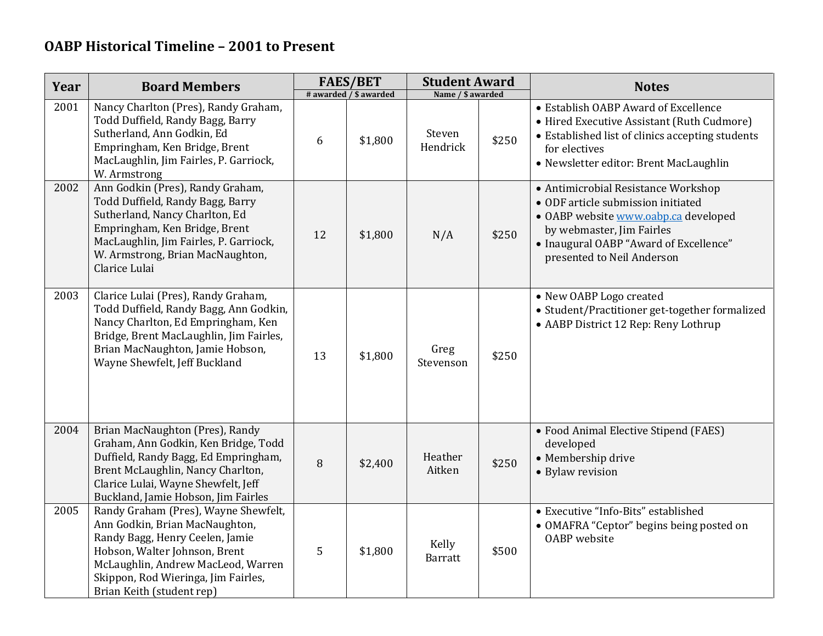| Year | <b>Board Members</b>                                                                                                                                                                                                                                 | <b>FAES/BET</b><br># awarded / \$ awarded |         | <b>Student Award</b>    |       | <b>Notes</b>                                                                                                                                                                                                           |
|------|------------------------------------------------------------------------------------------------------------------------------------------------------------------------------------------------------------------------------------------------------|-------------------------------------------|---------|-------------------------|-------|------------------------------------------------------------------------------------------------------------------------------------------------------------------------------------------------------------------------|
|      |                                                                                                                                                                                                                                                      |                                           |         | Name / \$ awarded       |       |                                                                                                                                                                                                                        |
| 2001 | Nancy Charlton (Pres), Randy Graham,<br>Todd Duffield, Randy Bagg, Barry<br>Sutherland, Ann Godkin, Ed<br>Empringham, Ken Bridge, Brent<br>MacLaughlin, Jim Fairles, P. Garriock,<br>W. Armstrong                                                    | 6                                         | \$1,800 | Steven<br>Hendrick      | \$250 | • Establish OABP Award of Excellence<br>• Hired Executive Assistant (Ruth Cudmore)<br>• Established list of clinics accepting students<br>for electives<br>· Newsletter editor: Brent MacLaughlin                      |
| 2002 | Ann Godkin (Pres), Randy Graham,<br>Todd Duffield, Randy Bagg, Barry<br>Sutherland, Nancy Charlton, Ed<br>Empringham, Ken Bridge, Brent<br>MacLaughlin, Jim Fairles, P. Garriock,<br>W. Armstrong, Brian MacNaughton,<br>Clarice Lulai               | 12                                        | \$1,800 | N/A                     | \$250 | • Antimicrobial Resistance Workshop<br>• ODF article submission initiated<br>• OABP website www.oabp.ca developed<br>by webmaster, Jim Fairles<br>• Inaugural OABP "Award of Excellence"<br>presented to Neil Anderson |
| 2003 | Clarice Lulai (Pres), Randy Graham,<br>Todd Duffield, Randy Bagg, Ann Godkin,<br>Nancy Charlton, Ed Empringham, Ken<br>Bridge, Brent MacLaughlin, Jim Fairles,<br>Brian MacNaughton, Jamie Hobson,<br>Wayne Shewfelt, Jeff Buckland                  | 13                                        | \$1,800 | Greg<br>Stevenson       | \$250 | • New OABP Logo created<br>• Student/Practitioner get-together formalized<br>• AABP District 12 Rep: Reny Lothrup                                                                                                      |
| 2004 | Brian MacNaughton (Pres), Randy<br>Graham, Ann Godkin, Ken Bridge, Todd<br>Duffield, Randy Bagg, Ed Empringham,<br>Brent McLaughlin, Nancy Charlton,<br>Clarice Lulai, Wayne Shewfelt, Jeff<br>Buckland, Jamie Hobson, Jim Fairles                   | $\, 8$                                    | \$2,400 | Heather<br>Aitken       | \$250 | • Food Animal Elective Stipend (FAES)<br>developed<br>• Membership drive<br>• Bylaw revision                                                                                                                           |
| 2005 | Randy Graham (Pres), Wayne Shewfelt,<br>Ann Godkin, Brian MacNaughton,<br>Randy Bagg, Henry Ceelen, Jamie<br>Hobson, Walter Johnson, Brent<br>McLaughlin, Andrew MacLeod, Warren<br>Skippon, Rod Wieringa, Jim Fairles,<br>Brian Keith (student rep) | 5                                         | \$1,800 | Kelly<br><b>Barratt</b> | \$500 | • Executive "Info-Bits" established<br>• OMAFRA "Ceptor" begins being posted on<br><b>OABP</b> website                                                                                                                 |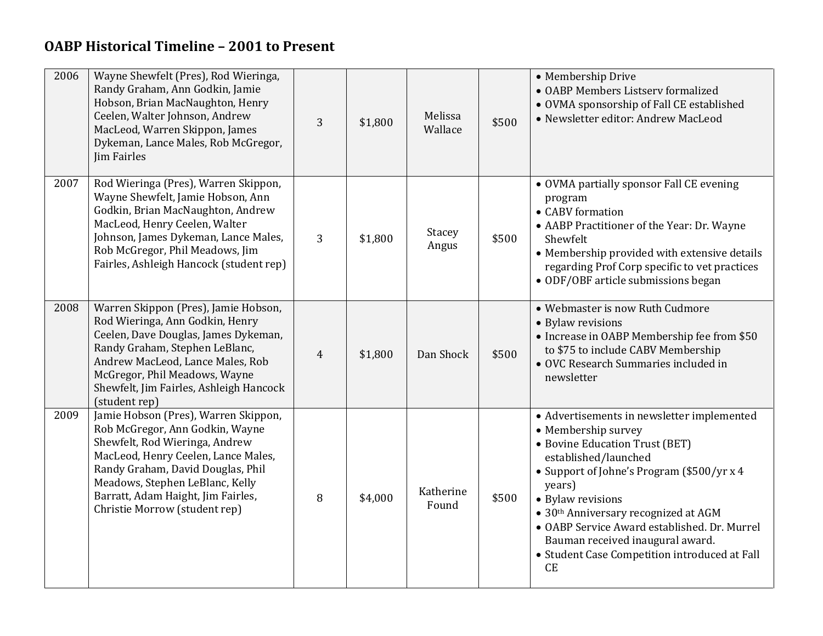| 2006 | Wayne Shewfelt (Pres), Rod Wieringa,<br>Randy Graham, Ann Godkin, Jamie<br>Hobson, Brian MacNaughton, Henry<br>Ceelen, Walter Johnson, Andrew<br>MacLeod, Warren Skippon, James<br>Dykeman, Lance Males, Rob McGregor,<br>Jim Fairles                                                           | 3              | \$1,800 | Melissa<br>Wallace | \$500 | • Membership Drive<br>• OABP Members Listserv formalized<br>• OVMA sponsorship of Fall CE established<br>• Newsletter editor: Andrew MacLeod                                                                                                                                                                                                                                                       |
|------|-------------------------------------------------------------------------------------------------------------------------------------------------------------------------------------------------------------------------------------------------------------------------------------------------|----------------|---------|--------------------|-------|----------------------------------------------------------------------------------------------------------------------------------------------------------------------------------------------------------------------------------------------------------------------------------------------------------------------------------------------------------------------------------------------------|
| 2007 | Rod Wieringa (Pres), Warren Skippon,<br>Wayne Shewfelt, Jamie Hobson, Ann<br>Godkin, Brian MacNaughton, Andrew<br>MacLeod, Henry Ceelen, Walter<br>Johnson, James Dykeman, Lance Males,<br>Rob McGregor, Phil Meadows, Jim<br>Fairles, Ashleigh Hancock (student rep)                           | 3              | \$1,800 | Stacey<br>Angus    | \$500 | · OVMA partially sponsor Fall CE evening<br>program<br>• CABV formation<br>• AABP Practitioner of the Year: Dr. Wayne<br>Shewfelt<br>• Membership provided with extensive details<br>regarding Prof Corp specific to vet practices<br>• ODF/OBF article submissions began                                                                                                                          |
| 2008 | Warren Skippon (Pres), Jamie Hobson,<br>Rod Wieringa, Ann Godkin, Henry<br>Ceelen, Dave Douglas, James Dykeman,<br>Randy Graham, Stephen LeBlanc,<br>Andrew MacLeod, Lance Males, Rob<br>McGregor, Phil Meadows, Wayne<br>Shewfelt, Jim Fairles, Ashleigh Hancock<br>(student rep)              | $\overline{4}$ | \$1,800 | Dan Shock          | \$500 | • Webmaster is now Ruth Cudmore<br>• Bylaw revisions<br>• Increase in OABP Membership fee from \$50<br>to \$75 to include CABV Membership<br>• OVC Research Summaries included in<br>newsletter                                                                                                                                                                                                    |
| 2009 | Jamie Hobson (Pres), Warren Skippon,<br>Rob McGregor, Ann Godkin, Wayne<br>Shewfelt, Rod Wieringa, Andrew<br>MacLeod, Henry Ceelen, Lance Males,<br>Randy Graham, David Douglas, Phil<br>Meadows, Stephen LeBlanc, Kelly<br>Barratt, Adam Haight, Jim Fairles,<br>Christie Morrow (student rep) | $\, 8$         | \$4,000 | Katherine<br>Found | \$500 | • Advertisements in newsletter implemented<br>• Membership survey<br>• Bovine Education Trust (BET)<br>established/launched<br>• Support of Johne's Program (\$500/yr x 4<br>years)<br>• Bylaw revisions<br>• 30th Anniversary recognized at AGM<br>• OABP Service Award established. Dr. Murrel<br>Bauman received inaugural award.<br>• Student Case Competition introduced at Fall<br><b>CE</b> |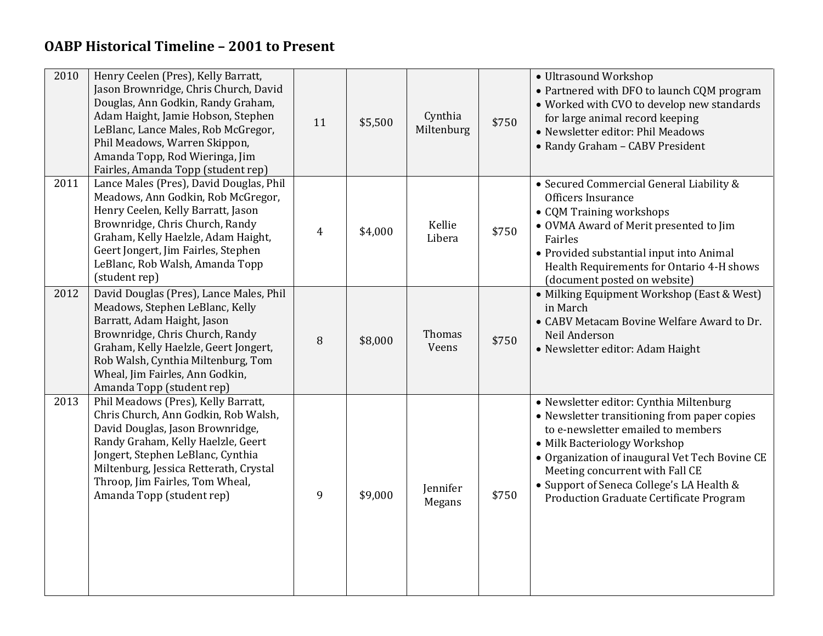| 2010 | Henry Ceelen (Pres), Kelly Barratt,<br>Jason Brownridge, Chris Church, David<br>Douglas, Ann Godkin, Randy Graham,<br>Adam Haight, Jamie Hobson, Stephen<br>LeBlanc, Lance Males, Rob McGregor,<br>Phil Meadows, Warren Skippon,<br>Amanda Topp, Rod Wieringa, Jim<br>Fairles, Amanda Topp (student rep) | 11             | \$5,500 | Cynthia<br>Miltenburg | \$750 | • Ultrasound Workshop<br>• Partnered with DFO to launch CQM program<br>• Worked with CVO to develop new standards<br>for large animal record keeping<br>· Newsletter editor: Phil Meadows<br>• Randy Graham - CABV President                                                                                                               |
|------|----------------------------------------------------------------------------------------------------------------------------------------------------------------------------------------------------------------------------------------------------------------------------------------------------------|----------------|---------|-----------------------|-------|--------------------------------------------------------------------------------------------------------------------------------------------------------------------------------------------------------------------------------------------------------------------------------------------------------------------------------------------|
| 2011 | Lance Males (Pres), David Douglas, Phil<br>Meadows, Ann Godkin, Rob McGregor,<br>Henry Ceelen, Kelly Barratt, Jason<br>Brownridge, Chris Church, Randy<br>Graham, Kelly Haelzle, Adam Haight,<br>Geert Jongert, Jim Fairles, Stephen<br>LeBlanc, Rob Walsh, Amanda Topp<br>(student rep)                 | $\overline{4}$ | \$4,000 | Kellie<br>Libera      | \$750 | • Secured Commercial General Liability &<br>Officers Insurance<br>• CQM Training workshops<br>• OVMA Award of Merit presented to Jim<br>Fairles<br>• Provided substantial input into Animal<br>Health Requirements for Ontario 4-H shows<br>(document posted on website)                                                                   |
| 2012 | David Douglas (Pres), Lance Males, Phil<br>Meadows, Stephen LeBlanc, Kelly<br>Barratt, Adam Haight, Jason<br>Brownridge, Chris Church, Randy<br>Graham, Kelly Haelzle, Geert Jongert,<br>Rob Walsh, Cynthia Miltenburg, Tom<br>Wheal, Jim Fairles, Ann Godkin,<br>Amanda Topp (student rep)              | 8              | \$8,000 | Thomas<br>Veens       | \$750 | • Milking Equipment Workshop (East & West)<br>in March<br>• CABV Metacam Bovine Welfare Award to Dr.<br>Neil Anderson<br>• Newsletter editor: Adam Haight                                                                                                                                                                                  |
| 2013 | Phil Meadows (Pres), Kelly Barratt,<br>Chris Church, Ann Godkin, Rob Walsh,<br>David Douglas, Jason Brownridge,<br>Randy Graham, Kelly Haelzle, Geert<br>Jongert, Stephen LeBlanc, Cynthia<br>Miltenburg, Jessica Retterath, Crystal<br>Throop, Jim Fairles, Tom Wheal,<br>Amanda Topp (student rep)     | 9              | \$9,000 | Jennifer<br>Megans    | \$750 | · Newsletter editor: Cynthia Miltenburg<br>• Newsletter transitioning from paper copies<br>to e-newsletter emailed to members<br>• Milk Bacteriology Workshop<br>• Organization of inaugural Vet Tech Bovine CE<br>Meeting concurrent with Fall CE<br>• Support of Seneca College's LA Health &<br>Production Graduate Certificate Program |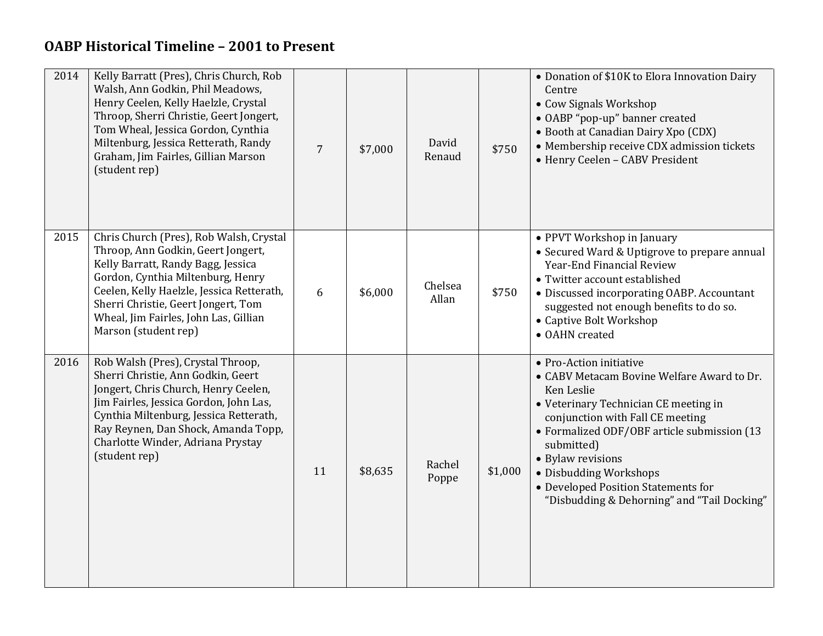| 2014 | Kelly Barratt (Pres), Chris Church, Rob<br>Walsh, Ann Godkin, Phil Meadows,<br>Henry Ceelen, Kelly Haelzle, Crystal<br>Throop, Sherri Christie, Geert Jongert,<br>Tom Wheal, Jessica Gordon, Cynthia<br>Miltenburg, Jessica Retterath, Randy<br>Graham, Jim Fairles, Gillian Marson<br>(student rep)          | $\overline{7}$ | \$7,000 | David<br>Renaud  | \$750   | • Donation of \$10K to Elora Innovation Dairy<br>Centre<br>• Cow Signals Workshop<br>• OABP "pop-up" banner created<br>• Booth at Canadian Dairy Xpo (CDX)<br>• Membership receive CDX admission tickets<br>• Henry Ceelen - CABV President                                                                                                                        |
|------|---------------------------------------------------------------------------------------------------------------------------------------------------------------------------------------------------------------------------------------------------------------------------------------------------------------|----------------|---------|------------------|---------|--------------------------------------------------------------------------------------------------------------------------------------------------------------------------------------------------------------------------------------------------------------------------------------------------------------------------------------------------------------------|
| 2015 | Chris Church (Pres), Rob Walsh, Crystal<br>Throop, Ann Godkin, Geert Jongert,<br>Kelly Barratt, Randy Bagg, Jessica<br>Gordon, Cynthia Miltenburg, Henry<br>Ceelen, Kelly Haelzle, Jessica Retterath,<br>Sherri Christie, Geert Jongert, Tom<br>Wheal, Jim Fairles, John Las, Gillian<br>Marson (student rep) | 6              | \$6,000 | Chelsea<br>Allan | \$750   | • PPVT Workshop in January<br>• Secured Ward & Uptigrove to prepare annual<br>Year-End Financial Review<br>• Twitter account established<br>• Discussed incorporating OABP. Accountant<br>suggested not enough benefits to do so.<br>• Captive Bolt Workshop<br>• OAHN created                                                                                     |
| 2016 | Rob Walsh (Pres), Crystal Throop,<br>Sherri Christie, Ann Godkin, Geert<br>Jongert, Chris Church, Henry Ceelen,<br>Jim Fairles, Jessica Gordon, John Las,<br>Cynthia Miltenburg, Jessica Retterath,<br>Ray Reynen, Dan Shock, Amanda Topp,<br>Charlotte Winder, Adriana Prystay<br>(student rep)              | 11             | \$8,635 | Rachel<br>Poppe  | \$1,000 | • Pro-Action initiative<br>• CABV Metacam Bovine Welfare Award to Dr.<br>Ken Leslie<br>• Veterinary Technician CE meeting in<br>conjunction with Fall CE meeting<br>• Formalized ODF/OBF article submission (13<br>submitted)<br>• Bylaw revisions<br>· Disbudding Workshops<br>• Developed Position Statements for<br>"Disbudding & Dehorning" and "Tail Docking" |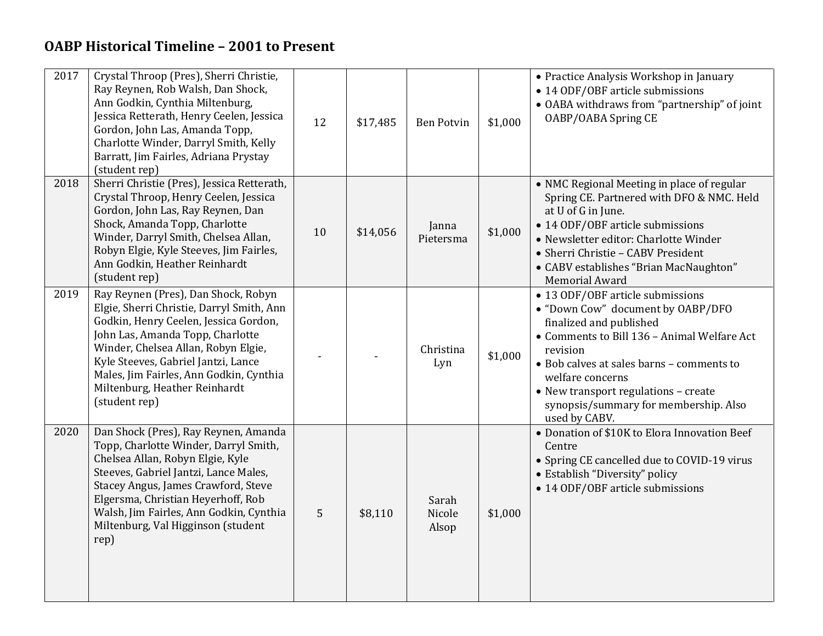| 2017 | Crystal Throop (Pres), Sherri Christie,<br>Ray Reynen, Rob Walsh, Dan Shock,<br>Ann Godkin, Cynthia Miltenburg,<br>Jessica Retterath, Henry Ceelen, Jessica<br>Gordon, John Las, Amanda Topp,<br>Charlotte Winder, Darryl Smith, Kelly<br>Barratt, Jim Fairles, Adriana Prystay<br>(student rep)                                         | 12 | \$17,485 | <b>Ben Potvin</b>        | \$1,000 | • Practice Analysis Workshop in January<br>• 14 ODF/OBF article submissions<br>• OABA withdraws from "partnership" of joint<br>OABP/OABA Spring CE                                                                                                                                                                             |
|------|------------------------------------------------------------------------------------------------------------------------------------------------------------------------------------------------------------------------------------------------------------------------------------------------------------------------------------------|----|----------|--------------------------|---------|--------------------------------------------------------------------------------------------------------------------------------------------------------------------------------------------------------------------------------------------------------------------------------------------------------------------------------|
| 2018 | Sherri Christie (Pres), Jessica Retterath,<br>Crystal Throop, Henry Ceelen, Jessica<br>Gordon, John Las, Ray Reynen, Dan<br>Shock, Amanda Topp, Charlotte<br>Winder, Darryl Smith, Chelsea Allan,<br>Robyn Elgie, Kyle Steeves, Jim Fairles,<br>Ann Godkin, Heather Reinhardt<br>(student rep)                                           | 10 | \$14,056 | Janna<br>Pietersma       | \$1,000 | • NMC Regional Meeting in place of regular<br>Spring CE. Partnered with DFO & NMC. Held<br>at U of G in June.<br>• 14 ODF/OBF article submissions<br>• Newsletter editor: Charlotte Winder<br>• Sherri Christie - CABV President<br>• CABV establishes "Brian MacNaughton"<br><b>Memorial Award</b>                            |
| 2019 | Ray Reynen (Pres), Dan Shock, Robyn<br>Elgie, Sherri Christie, Darryl Smith, Ann<br>Godkin, Henry Ceelen, Jessica Gordon,<br>John Las, Amanda Topp, Charlotte<br>Winder, Chelsea Allan, Robyn Elgie,<br>Kyle Steeves, Gabriel Jantzi, Lance<br>Males, Jim Fairles, Ann Godkin, Cynthia<br>Miltenburg, Heather Reinhardt<br>(student rep) |    |          | Christina<br>Lyn         | \$1,000 | • 13 ODF/OBF article submissions<br>• "Down Cow" document by OABP/DFO<br>finalized and published<br>• Comments to Bill 136 - Animal Welfare Act<br>revision<br>· Bob calves at sales barns - comments to<br>welfare concerns<br>• New transport regulations - create<br>synopsis/summary for membership. Also<br>used by CABV. |
| 2020 | Dan Shock (Pres), Ray Reynen, Amanda<br>Topp, Charlotte Winder, Darryl Smith,<br>Chelsea Allan, Robyn Elgie, Kyle<br>Steeves, Gabriel Jantzi, Lance Males,<br>Stacey Angus, James Crawford, Steve<br>Elgersma, Christian Heyerhoff, Rob<br>Walsh, Jim Fairles, Ann Godkin, Cynthia<br>Miltenburg, Val Higginson (student<br>rep)         | 5  | \$8,110  | Sarah<br>Nicole<br>Alsop | \$1,000 | • Donation of \$10K to Elora Innovation Beef<br>Centre<br>• Spring CE cancelled due to COVID-19 virus<br>• Establish "Diversity" policy<br>• 14 ODF/OBF article submissions                                                                                                                                                    |